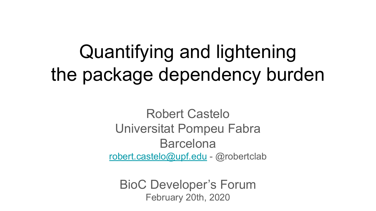# Quantifying and lightening the package dependency burden

Robert Castelo Universitat Pompeu Fabra Barcelona [robert.castelo@upf.edu](mailto:robert.castelo@upf.edu) - @robertclab

BioC Developer's Forum February 20th, 2020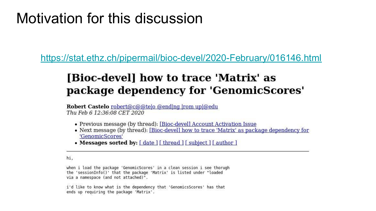### Motivation for this discussion

https://stat.ethz.ch/pipermail/bioc-devel/2020-February/016146.html

### [Bioc-devel] how to trace 'Matrix' as package dependency for 'GenomicScores'

Robert Castelo robert@c@@telo @ending from upl@edu Thu Feb 6 12:36:08 CET 2020

- Previous message (by thread): [Bioc-devel] Account Activation Issue
- Next message (by thread): [Bioc-devel] how to trace 'Matrix' as package dependency for 'GenomicScores'
- Messages sorted by:  $\lceil \frac{\text{date}}{\text{date}} \rceil$  [thread ]  $\lceil \frac{\text{subject}}{\text{author}} \rceil$

hi.

when i load the package 'GenomicScores' in a clean session i see thorugh the 'sessionInfo()' that the package 'Matrix' is listed under "loaded via a namespace (and not attached)".

i'd like to know what is the dependency that 'GenomicsScores' has that ends up requiring the package 'Matrix'.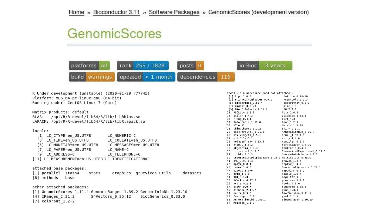### GenomicScores



| R Under development (unstable) (2020-01-29 r77745)<br>Platform: x86 64-pc-linux-gnu (64-bit) | loaded via a namespace (and not attached):<br>$[1]$ Rcpp $1.0.3$<br>lattice 0.20-38<br>[3] shinycustomloader 0.9.0<br>Rsamtools 2.3.3 |
|----------------------------------------------------------------------------------------------|---------------------------------------------------------------------------------------------------------------------------------------|
| Running under: CentOS Linux 7 (Core)                                                         | [5] Biostrings 2.55.4<br>assertthat 0.2.1<br>$[7]$ digest $0.6.23$<br>mine 0.9<br>[9] BiocFileCache 1.11.4<br>R6 2.4.1                |
| Matrix products: default                                                                     | [11] RSQLite 2.2.0<br>httr 1.4.1                                                                                                      |
| /opt/R/R-devel/lib64/R/lib/libRblas.so<br>BLAS:                                              | [13] pillar 1.4.3<br>zlibbioc 1.33.1                                                                                                  |
|                                                                                              | $[15]$ rlang 0.4.4<br>curl 4.3                                                                                                        |
| LAPACK: /opt/R/R-devel/lib64/R/lib/libRlapack.so                                             | $[17]$ data.table $1.12.8$<br>blob 1.2.1                                                                                              |
|                                                                                              | $[19]$ DT $0.12$<br>Matrix 1.2-18                                                                                                     |
| locale:                                                                                      | [21] shinythemes 1.1.2<br>shinyjs 1.1<br>[23] BiocParallel 1.21.2<br>AnnotationHub 2.19.7                                             |
|                                                                                              | [25] htmlwidgets 1.5.1<br>RCurl 1.98-1.1                                                                                              |
| LC NUMERIC=C<br>[1] LC CTYPE=en US.UTF8                                                      | $[27]$ bit $1.1-15.1$<br>shiny $1.4.0$                                                                                                |
| [3] LC TIME=en US.UTF8<br>LC COLLATE=en US.UTF8                                              | [29] DelayedArray 0.13.3<br>compiler 4.0.0                                                                                            |
| [5] LC MONETARY=en US.UTF8<br>LC MESSAGES=en US.UTF8                                         | [31] httpuv 1.5.2<br>rtracklayer 1.47.0                                                                                               |
|                                                                                              | [33] pkgconfig 2.0.3<br>htmltools 0.4.0                                                                                               |
| [7] LC PAPER=en US.UTF8<br>LC NAME=C                                                         | [35] tidyselect $1.0.0$<br>SummarizedExperiment 1.17.1                                                                                |
| [9] LC ADDRESS=C<br>LC TELEPHONE=C                                                           | $[37]$ tibble $2.1.3$<br>GenomeInfoDbData 1.2.2                                                                                       |
| [11] LC MEASUREMENT=en US.UTF8 LC IDENTIFICATION=C                                           | [39] interactiveDisplayBase 1.25.0 matrixStats 0.55.0                                                                                 |
|                                                                                              | [41] XML 3.99-0.3<br>$c$ rayon $1.3.4$                                                                                                |
|                                                                                              | $[43]$ dplyr 0.8.4<br>dbplyr $1.4.2$                                                                                                  |
| attached base packages:                                                                      | $[45]$ later $1.0.0$<br>GenomicAlignments 1.23.1                                                                                      |
| graphics grDevices utils<br>[1] parallel stats4<br>datasets<br>stats                         | $[47]$ bitops $1.0 - 6$<br>rappdirs 0.3.1<br>$[49]$ grid $4.0.0$<br>$xtable$ 1.8-4                                                    |
|                                                                                              | [51] DBI 1.1.0<br>magrittr 1.5                                                                                                        |
| [8] methods<br>base                                                                          | [53] XVector 0.27.0<br>promises 1.1.0                                                                                                 |
|                                                                                              | $[55]$ vctrs $0.2.2$<br>tools $4.0.0$                                                                                                 |
| other attached packages:                                                                     | $[57]$ bit64 0.9-7<br>BSgenome 1.55.3                                                                                                 |
|                                                                                              | [59] Biobase 2.47.2<br>glue 1.3.1                                                                                                     |
| [1] GenomicScores 1.11.4 GenomicRanges 1.39.2 GenomeInfoDb 1.23.10                           | $[61]$ purrr $0.3.3$<br>BiocVersion 3.11.1                                                                                            |
| BiocGenerics 0.33.0<br>[4] IRanges 2.21.3<br>S4Vectors 0.25.12                               | $[63]$ fastmap $1.0.1$<br>yaml $2.2.1$                                                                                                |
| $[7]$ colorout 1.2-2                                                                         | [65] AnnotationDbi 1.49.1<br>BiocManager 1.30.10                                                                                      |
|                                                                                              | $[67]$ memoise $1.1.0$                                                                                                                |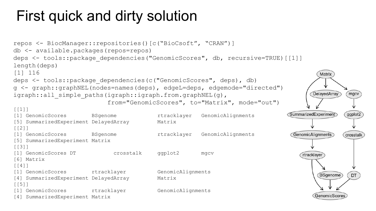## First quick and dirty solution

```
repos <- BiocManager::repositories()[c("BioCsoft", "CRAN")]
db <- available.packages(repos=repos)
deps <- tools::package dependencies("GenomicScores", db, recursive=TRUE)[[1]]
length(deps)
[1] 116
                                                                                        Matrix
deps <- tools::package dependencies(c("GenomicScores", deps), db)
g <- graph::graphNEL(nodes=names(deps), edgeL=deps, edgemode="directed")
                                                                                      DelayedArray
                                                                                                 mgcv
igraph::all simple paths(igraph::igraph.from.graphNEL(g),
                            from="GenomicScores", to="Matrix", mode="out")
[1]]
                                                                               SummarizedExperiment
                                                                                                ggplot2
[1] GenomicScores BSgenome rtracklayer GenomicAlignments
[5] SummarizedExperiment DelayedArray Matrix
\begin{array}{c} \fbox{1} \\ \hline \end{array}[1] GenomicScores BSgenome rtracklayer GenomicAlignments
                                                                                 GenomicAlignments
                                                                                                crosstalk
[5] SummarizedExperiment Matrix
[[3]]
[1] GenomicScores DT crosstalk ggplot2 mgcv
                                                                                   rtracklayer
[6] Matrix
[[1] GenomicScores rtracklayer GenomicAlignments
                                                                                        BSgenome
                                                                                                 DT
[4] SummarizedExperiment DelayedArray Matrix
[[5]]
[1] GenomicScores rtracklayer GenomicAlignments
                                                                                       GenomicScore
[4] SummarizedExperiment Matrix
```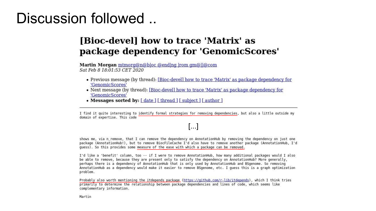### Discussion followed ..

### [Bioc-devel] how to trace 'Matrix' as package dependency for 'GenomicScores'

Martin Morgan mtmorg@n@bloc @ending from gm@ll@com Sat Feb 8 18:01:53 CET 2020

- Previous message (by thread): [Bioc-devel] how to trace 'Matrix' as package dependency for 'GenomicScores'
- Next message (by thread): [Bioc-devel] how to trace 'Matrix' as package dependency for 'GenomicScores'
- Messages sorted by: [date ] [thread ] [subject ] [author ]

I find it quite interesting to identify formal strategies for removing dependencies, but also a little outside my domain of expertise. This code

### $\left[\ldots\right]$

shows me, via n remove, that I can remove the dependency on AnnotationHub by removing the dependency on just one package (AnnotationHub!), but to remove BiocFileCache I'd also have to remove another package (AnnotationHub, I'd quess). So this provides some measure of the ease with which a package can be removed.

I'd like a 'benefit' column, too -- if I were to remove AnnotationHub, how many additional packages would I also be able to remove, because they are present only to satisfy the dependency on AnnotationHub? More generally, perhaps there is a dependency of AnnotationHub that is only used by AnnotationHub and BSgenome. So removing AnnotationHub as a dependency would make it easier to remove BSgenome, etc. I quess this is a graph optimization problem.

Probably also worth mentioning the itdepends package (https://github.com/r-lib/itdepends), which I think tries primarily to determine the relationship between package dependencies and lines of code, which seems like complementary information.

Martin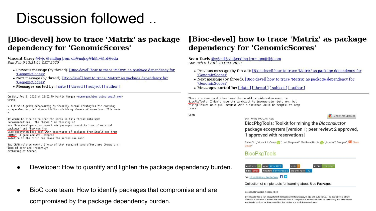### Discussion followed ..

### [Bioc-devel] how to trace 'Matrix' as package dependency for 'GenomicScores'

Vincent Carey @tvic @ending from ch@nning@h@rv@rd@edu Sun Feb 9 13:31:24 CET 2020

- Previous message (by thread): [Bioc-devel] how to trace 'Matrix' as package dependency for 'GenomicScores
- Next message (by thread): [Bioc-devel] how to trace 'Matrix' as package dependency for 'GenomicScores'
- Messages sorted by: [ date ] [ thread ] [ subject ] [ author ]

On Sat, Feb 8, 2020 at 12:02 PM Martin Morgan <mtmorgan.bioc using gmail.com> wrote:

> I find it auite interesting to identify formal strategies for removing > dependencies, but also a little outside my domain of expertise. This code

It would be nice to collect the ideas in this thread into some recommendations. The themes I am thinking of are "how developers can make their packages robust to loss of external packages" and "how can the Bioc ecosystem best deal with departures of packages from itself and from CRAN?" A good and well-adopted solution to the first one makes the second one moot.

Two CRAN-related events I know of that required some effort are (temporary) loss of ashr and (recently) archiving of Seurat.

- Developer: How to quantify and lighten the package dependency burden.
- BioC core team: How to identify packages that compromise and are  $\bullet$ compromised by the package dependency burden.

### [Bioc-devel] how to trace 'Matrix' as package dependency for 'GenomicScores'

Sean Davis @e@nd@y| @ending from gm@ll@com Sun Feb 9 17:01:28 CET 2020

- Previous message (by thread): [Bioc-devel] how to trace 'Matrix' as package dependency for 'GenomicScores'
- Next message (by thread): [Bioc-devel] how to trace 'Matrix' as package dependency for 'GenomicScores'
- Messages sorted by: [date ] [thread ] [subject ] [author ]

There are some good ideas here that would provide enhancement to BiocPkgTools. I don't have the bandwidth to incorporate right now, but filing issues or a pull request with a skeleton would be helpful to keep track.

Sean

SOFTWARE TOOL ARTICLE

Check for updates

BiocPkgTools: Toolkit for mining the Bioconductor package ecosystem [version 1; peer review: 2 approved, 1 approved with reservations]

Shian Su<sup>1</sup>, Vincent J. Carey <sup>1</sup> <sup>2</sup>, Lori Shepherd<sup>3</sup>, Matthew Ritchie <sup>1</sup>, Martin T. Morgan<sup>3</sup>, <sup>1</sup> Sean Davis<sup>4</sup>

#### **BiocPkgTools**



DOI: 10.18129/89.bioc.BiocPkgTools

Collection of simple tools for learning about Bioc Packages

Bioconductor version: Release (3.10)

Bioconductor has a rich ecosystem of metadata around packages, usage, and build status. This package is a simple collection of functions to access that metadata from R. The goal is to expose metadata for data mining and value-added functionality such as package searching, text mining, and analytics on packages.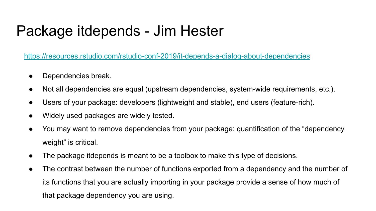### Package itdepends - Jim Hester

<https://resources.rstudio.com/rstudio-conf-2019/it-depends-a-dialog-about-dependencies>

- Dependencies break.
- Not all dependencies are equal (upstream dependencies, system-wide requirements, etc.).
- Users of your package: developers (lightweight and stable), end users (feature-rich).
- Widely used packages are widely tested.
- You may want to remove dependencies from your package: quantification of the "dependency weight" is critical.
- The package itdepends is meant to be a toolbox to make this type of decisions.
- The contrast between the number of functions exported from a dependency and the number of its functions that you are actually importing in your package provide a sense of how much of that package dependency you are using.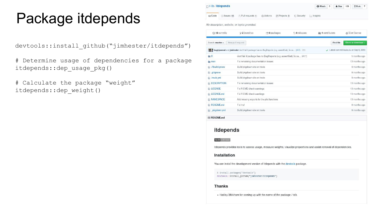### Package itdepends

devtools::install\_github("jimhester/itdepends")

# Determine usage of dependencies for a package itdepends::dep\_usage\_pkg()

# Calculate the package "weight" itdepends::dep\_weight()

|                  | $\Box$ r-lib / itdepends |                                                                                                   |         |                         |                   |                              | <b>O</b> Watch    | 5 | $*$ Star  | 103 | $Y$ Fork 7                           |  |
|------------------|--------------------------|---------------------------------------------------------------------------------------------------|---------|-------------------------|-------------------|------------------------------|-------------------|---|-----------|-----|--------------------------------------|--|
| <> Code          | <b>D</b> Issues 10       | m Pull requests 1                                                                                 | Actions | <b>III</b> Projects o   | <b>Security</b>   | $\ $ <sub>ill</sub> Insights |                   |   |           |     |                                      |  |
|                  | to 18 commits            | No description, website, or topics provided.<br>12 branches                                       |         | <sup>1</sup> 0 packages | <b>O</b> releases |                              | 11 4 contributors |   |           |     | sts View license                     |  |
| Branch: master - |                          | New pull request                                                                                  |         |                         |                   |                              |                   |   | Find file |     | Clone or download -                  |  |
|                  |                          | hugh jonesd and jimhester don't fail if package has no BugReports (e.g. assertthat); fix ca (#17) |         |                         |                   |                              |                   |   |           |     | Latest commit fade12b on Sep 9, 2019 |  |
| $P = D$          |                          | $domifailif$ pockage has no RusDonarts (a.g. apportingly fix as $(44.7)$                          |         |                         |                   |                              |                   |   |           |     | E months one.                        |  |

| <b>ER</b>            | don't fail if package has no BugReports (e.g. assertthat); fix ca (#17). | 5 months ago  |
|----------------------|--------------------------------------------------------------------------|---------------|
| man                  | Fix remaining documentation issues                                       | 13 months ago |
| Rbuildignore         | Build pkgdown site on travis                                             | 9 months ago  |
| ajtignore            | Build pkgdown site on travis                                             | 9 months ago  |
| $\Box$ : travis.yml  | Build pkgdown site on travis                                             | 9 months ago  |
| <b>DESCRIPTION</b>   | Fix remaining documentation issues                                       | 13 months ago |
| <b>ENSE</b>          | Fix R CMD check warnings                                                 | 13 months ago |
| <b>DE LICENSE.md</b> | Fix R CMD check warnings                                                 | 13 months ago |
| <b>NAMESPACE</b>     | Add missing exports for the plot functions                               | 13 months ago |
| README.md            | Fix href                                                                 | 9 months ago  |
| pkgdown.yml          | Build pkgdown site on travis                                             | 9 months ago  |

图 README.md

#### itdepends

#### build unknown

itdepends provides tools to assess usage, measure weights, visualize proportions and assist removal of dependencies.

#### Installation

You can install the development version of itdepends with the devtools package.

```
# install.packages("devtools")
devtools::install_github("jimhester/itdepends")
```
#### **Thanks**

. Hadley Wickham for coming up with the name of the package / talk.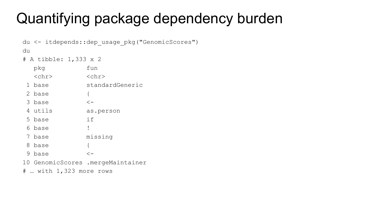```
du <- itdepends:: dep usage pkg ("GenomicScores")
du
# A tibble: 1,333 x 2
  pkq
     <u>fun</u>
  <chr> <chr>
1 base standardGeneric
2 \text{ base} {
3 base \leftarrow4 utils as.person
5 base if
6 base !
7 base missing
8 base
             \{
```
 $9 \text{ base}$   $\leftarrow$ 10 GenomicScores .mergeMaintainer

# ... with 1,323 more rows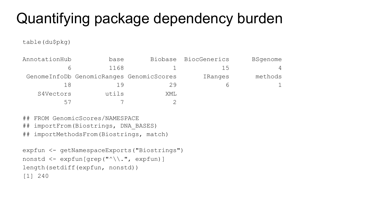table(du\$pkg)

| AnnotationHub | base                                     |     | Biobase BiocGenerics | <b>BSgenome</b> |
|---------------|------------------------------------------|-----|----------------------|-----------------|
|               | 1168                                     |     | כ ו                  | $\overline{4}$  |
|               | GenomeInfoDb GenomicRanges GenomicScores |     | IRanges              | methods         |
| 18            | 19                                       | 29  |                      |                 |
| S4Vectors     | utils                                    | XML |                      |                 |
| 57            |                                          |     |                      |                 |

## FROM GenomicScores/NAMESPACE

- ## importFrom(Biostrings, DNA\_BASES)
- ## importMethodsFrom(Biostrings, match)

```
expfun <- getNamespaceExports("Biostrings")
nonstd <- expfun[grep("^\\.", expfun)]
length(setdiff(expfun, nonstd))
[1] 240
```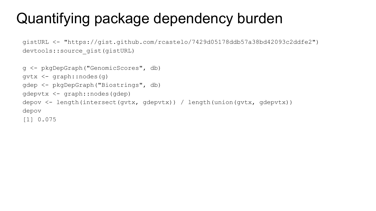gistURL <- "https://gist.github.com/rcastelo/7429d05178ddb57a38bd42093c2ddfe2") devtools::source\_gist(gistURL)

```
g <- pkgDepGraph("GenomicScores", db)
gvtx <- graph::nodes(g)
gdep <- pkgDepGraph("Biostrings", db)
gdepvtx <- graph::nodes(gdep)
depov <- length(intersect(gvtx, gdepvtx)) / length(union(gvtx, gdepvtx))
depov
[1] 0.075
```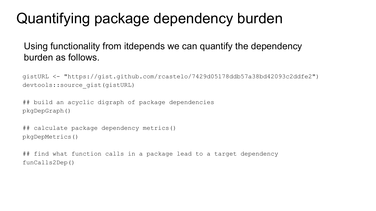### Using functionality from itdepends we can quantify the dependency burden as follows.

gistURL <- "https://gist.github.com/rcastelo/7429d05178ddb57a38bd42093c2ddfe2") devtools::source\_gist(gistURL)

## build an acyclic digraph of package dependencies pkgDepGraph()

```
## calculate package dependency metrics()
pkgDepMetrics()
```
## find what function calls in a package lead to a target dependency funCalls2Dep()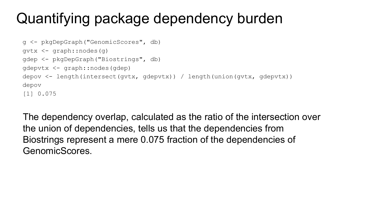```
g <- pkgDepGraph("GenomicScores", db)
gvtx <- graph::nodes(g)
gdep <- pkgDepGraph("Biostrings", db)
gdepvtx <- graph::nodes(gdep)
depov <- length(intersect(gvtx, gdepvtx)) / length(union(gvtx, gdepvtx))
depov
[1] 0.075
```
The dependency overlap, calculated as the ratio of the intersection over the union of dependencies, tells us that the dependencies from Biostrings represent a mere 0.075 fraction of the dependencies of GenomicScores.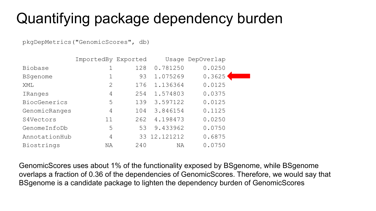pkgDepMetrics("GenomicScores", db)

|                 | ImportedBy Exported |     |              | Usage DepOverlap |  |
|-----------------|---------------------|-----|--------------|------------------|--|
| Biobase         |                     | 128 | 0.781250     | 0.0250           |  |
| <b>BSqenome</b> |                     | 93  | 1.075269     | 0.3625           |  |
| XML             | $\mathcal{D}$       | 176 | 1.136364     | 0.0125           |  |
| IRanges         | 4                   | 254 | 1.574803     | 0.0375           |  |
| BiocGenerics    | 5                   | 139 | 3.597122     | 0.0125           |  |
| GenomicRanges   | 4                   | 104 | 3.846154     | 0.1125           |  |
| S4Vectors       | 11                  | 262 | 4.198473     | 0.0250           |  |
| GenomeInfoDb    | 5                   | 53  | 9.433962     | 0.0750           |  |
| AnnotationHub   | 4                   |     | 33 12.121212 | 0.6875           |  |
| Biostrings      | ΝA                  | 240 | ΝA           | 0.0750           |  |

GenomicScores uses about 1% of the functionality exposed by BSgenome, while BSgenome overlaps a fraction of 0.36 of the dependencies of GenomicScores. Therefore, we would say that BSgenome is a candidate package to lighten the dependency burden of GenomicScores